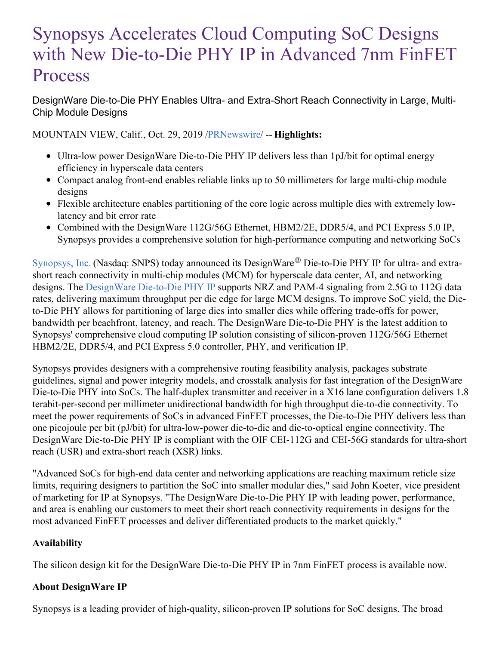# Synopsys Accelerates Cloud Computing SoC Designs with New Die-to-Die PHY IP in Advanced 7nm FinFET Process

DesignWare Die-to-Die PHY Enables Ultra- and Extra-Short Reach Connectivity in Large, Multi-Chip Module Designs

MOUNTAIN VIEW, Calif., Oct. 29, 2019 [/PRNewswire](http://www.prnewswire.com/)/ -- **Highlights:**

- Ultra-low power DesignWare Die-to-Die PHY IP delivers less than 1pJ/bit for optimal energy efficiency in hyperscale data centers
- Compact analog front-end enables reliable links up to 50 millimeters for large multi-chip module designs
- Flexible architecture enables partitioning of the core logic across multiple dies with extremely lowlatency and bit error rate
- Combined with the DesignWare 112G/56G Ethernet, HBM2/2E, DDR5/4, and PCI Express 5.0 IP, Synopsys provides a comprehensive solution for high-performance computing and networking SoCs

[Synopsys,](https://c212.net/c/link/?t=0&l=en&o=2624815-1&h=513650352&u=https%3A%2F%2Fwww.synopsys.com%2F&a=Synopsys%2C+Inc.) Inc. (Nasdaq: SNPS) today announced its DesignWare® Die-to-Die PHY IP for ultra- and extrashort reach connectivity in multi-chip modules (MCM) for hyperscale data center, AI, and networking designs. The [DesignWare](https://c212.net/c/link/?t=0&l=en&o=2624815-1&h=1388534692&u=https%3A%2F%2Fwww.synopsys.com%2Fdw%2Fipdir.php%3Fds%3Ddwc_die-to-die_phy&a=DesignWare+Die-to-Die+PHY+IP) Die-to-Die PHY IP supports NRZ and PAM-4 signaling from 2.5G to 112G data rates, delivering maximum throughput per die edge for large MCM designs. To improve SoC yield, the Dieto-Die PHY allows for partitioning of large dies into smaller dies while offering trade-offs for power, bandwidth per beachfront, latency, and reach. The DesignWare Die-to-Die PHY is the latest addition to Synopsys' comprehensive cloud computing IP solution consisting of silicon-proven 112G/56G Ethernet HBM2/2E, DDR5/4, and PCI Express 5.0 controller, PHY, and verification IP.

Synopsys provides designers with a comprehensive routing feasibility analysis, packages substrate guidelines, signal and power integrity models, and crosstalk analysis for fast integration of the DesignWare Die-to-Die PHY into SoCs. The half-duplex transmitter and receiver in a X16 lane configuration delivers 1.8 terabit-per-second per millimeter unidirectional bandwidth for high throughput die-to-die connectivity. To meet the power requirements of SoCs in advanced FinFET processes, the Die-to-Die PHY delivers less than one picojoule per bit (pJ/bit) for ultra-low-power die-to-die and die-to-optical engine connectivity. The DesignWare Die-to-Die PHY IP is compliant with the OIF CEI-112G and CEI-56G standards for ultra-short reach (USR) and extra-short reach (XSR) links.

"Advanced SoCs for high-end data center and networking applications are reaching maximum reticle size limits, requiring designers to partition the SoC into smaller modular dies," said John Koeter, vice president of marketing for IP at Synopsys. "The DesignWare Die-to-Die PHY IP with leading power, performance, and area is enabling our customers to meet their short reach connectivity requirements in designs for the most advanced FinFET processes and deliver differentiated products to the market quickly."

## **Availability**

The silicon design kit for the DesignWare Die-to-Die PHY IP in 7nm FinFET process is available now.

## **About DesignWare IP**

Synopsys is a leading provider of high-quality, silicon-proven IP solutions for SoC designs. The broad